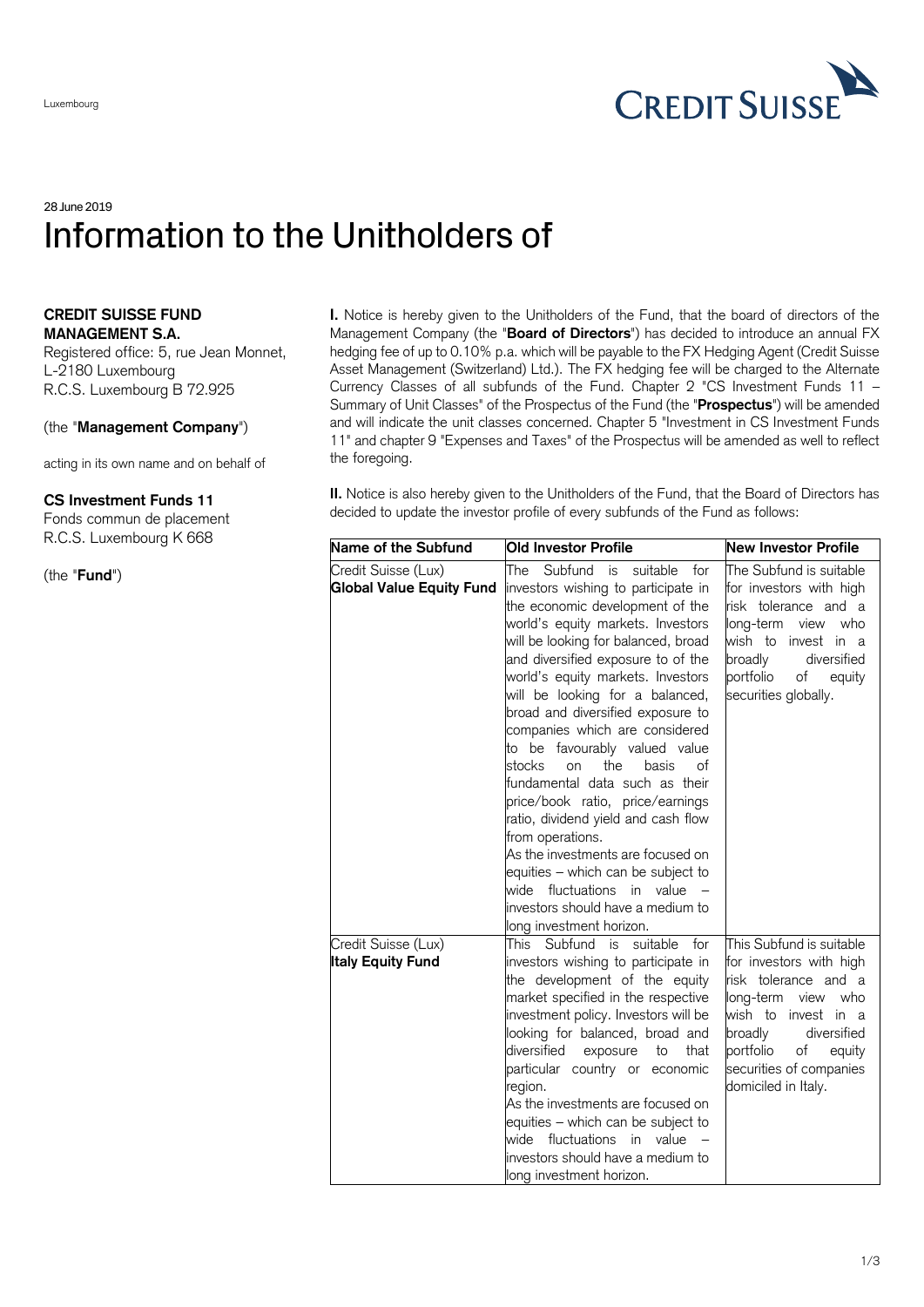

## 28 June 2019 Information to the Unitholders of

## **CREDIT SUISSE FUND MANAGEMENT S.A.**

Registered office: 5, rue Jean Monnet, L-2180 Luxembourg R.C.S. Luxembourg B 72.925

## (the "**Management Company**")

acting in its own name and on behalf of

## **CS Investment Funds 11**

Fonds commun de placement R.C.S. Luxembourg K 668

(the "**Fund**")

**I.** Notice is hereby given to the Unitholders of the Fund, that the board of directors of the Management Company (the "**Board of Directors**") has decided to introduce an annual FX hedging fee of up to 0.10% p.a. which will be payable to the FX Hedging Agent (Credit Suisse Asset Management (Switzerland) Ltd.). The FX hedging fee will be charged to the Alternate Currency Classes of all subfunds of the Fund. Chapter 2 "CS Investment Funds 11 – Summary of Unit Classes" of the Prospectus of the Fund (the "**Prospectus**") will be amended and will indicate the unit classes concerned. Chapter 5 "Investment in CS Investment Funds 11" and chapter 9 "Expenses and Taxes" of the Prospectus will be amended as well to reflect the foregoing.

**II.** Notice is also hereby given to the Unitholders of the Fund, that the Board of Directors has decided to update the investor profile of every subfunds of the Fund as follows:

| Name of the Subfund                                    | <b>Old Investor Profile</b>                                                                                                                                                                                                                                                                                                                                                                                                                                                                                                                                                                                                                                                                                                              | <b>New Investor Profile</b>                                                                                                                                                                                                                |
|--------------------------------------------------------|------------------------------------------------------------------------------------------------------------------------------------------------------------------------------------------------------------------------------------------------------------------------------------------------------------------------------------------------------------------------------------------------------------------------------------------------------------------------------------------------------------------------------------------------------------------------------------------------------------------------------------------------------------------------------------------------------------------------------------------|--------------------------------------------------------------------------------------------------------------------------------------------------------------------------------------------------------------------------------------------|
| Credit Suisse (Lux)<br><b>Global Value Equity Fund</b> | Subfund<br>The<br>is<br>suitable<br>for<br>investors wishing to participate in<br>the economic development of the<br>world's equity markets. Investors<br>will be looking for balanced, broad<br>and diversified exposure to of the<br>world's equity markets. Investors<br>will be looking for a balanced,<br>broad and diversified exposure to<br>companies which are considered<br>to be favourably valued value<br>stocks<br>the<br>basis<br>of<br>on<br>fundamental data such as their<br>price/book ratio, price/earnings<br>ratio, dividend yield and cash flow<br>from operations.<br>As the investments are focused on<br>equities - which can be subject to<br>wide fluctuations in value<br>investors should have a medium to | The Subfund is suitable<br>for investors with high<br>risk tolerance and a<br>long-term<br>view<br>who<br>wish to<br>invest in a<br>broadly<br>diversified<br>portfolio<br>of<br>equity<br>securities globally.                            |
| Credit Suisse (Lux)<br><b>Italy Equity Fund</b>        | long investment horizon.<br>for<br>This Subfund is<br>suitable<br>investors wishing to participate in<br>the development of the equity<br>market specified in the respective<br>investment policy. Investors will be<br>looking for balanced, broad and<br>diversified<br>exposure<br>that<br>to<br>particular country or economic<br>region.<br>As the investments are focused on<br>equities - which can be subject to<br>wide fluctuations in value<br>investors should have a medium to<br>long investment horizon.                                                                                                                                                                                                                  | This Subfund is suitable<br>for investors with high<br>risk tolerance and a<br>long-term<br>view<br>who<br>wish to<br>invest in a<br>broadly<br>diversified<br>portfolio<br>of<br>equity<br>securities of companies<br>domiciled in Italy. |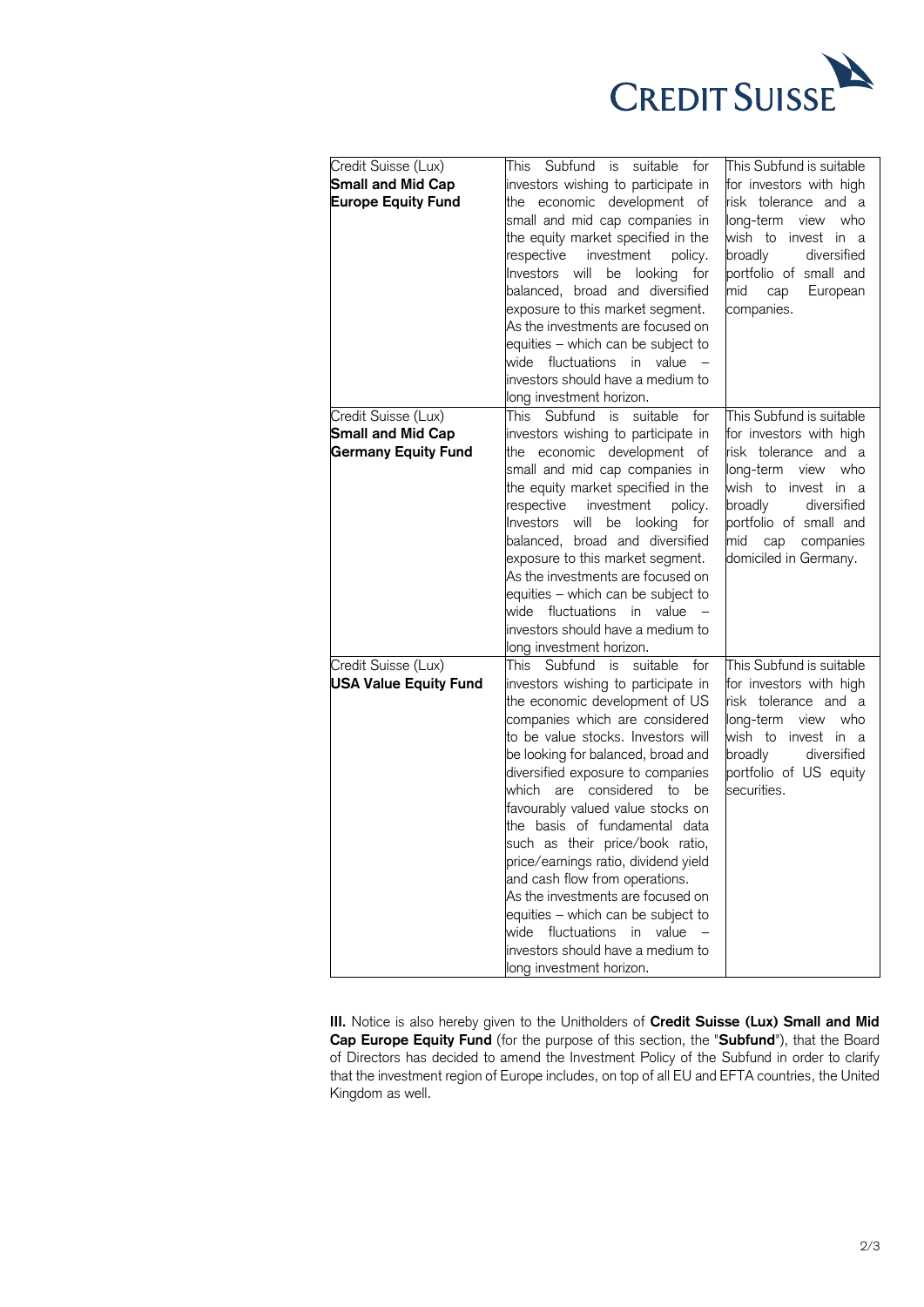

| Credit Suisse (Lux)<br>Small and Mid Cap<br><b>Europe Equity Fund</b>         | This Subfund is suitable for<br>investors wishing to participate in<br>the economic development of<br>small and mid cap companies in<br>the equity market specified in the<br>respective investment policy.<br>Investors will be looking for<br>balanced, broad and diversified<br>exposure to this market segment.<br>As the investments are focused on<br>equities - which can be subject to<br>wide fluctuations in value -<br>investors should have a medium to<br>long investment horizon.                                                                                                                                                        | This Subfund is suitable<br>for investors with high<br>risk tolerance and a<br>long-term view<br>who<br>wish to invest in a<br>broadly<br>diversified<br>portfolio of small and<br>mid<br>European<br>cap<br>companies.       |
|-------------------------------------------------------------------------------|--------------------------------------------------------------------------------------------------------------------------------------------------------------------------------------------------------------------------------------------------------------------------------------------------------------------------------------------------------------------------------------------------------------------------------------------------------------------------------------------------------------------------------------------------------------------------------------------------------------------------------------------------------|-------------------------------------------------------------------------------------------------------------------------------------------------------------------------------------------------------------------------------|
| Credit Suisse (Lux)<br><b>Small and Mid Cap</b><br><b>Germany Equity Fund</b> | This Subfund is suitable<br>for<br>investors wishing to participate in<br>the economic development of<br>small and mid cap companies in<br>the equity market specified in the<br>respective investment<br>policy.<br>Investors will be looking for<br>balanced, broad and diversified<br>exposure to this market segment.<br>As the investments are focused on<br>equities - which can be subject to<br>wide fluctuations in value<br>investors should have a medium to<br>long investment horizon.                                                                                                                                                    | This Subfund is suitable<br>for investors with high<br>risk tolerance and a<br>long-term view<br>who<br>wish to invest in a<br>broadly<br>diversified<br>portfolio of small and<br>mid cap companies<br>domiciled in Germany. |
| Credit Suisse (Lux)<br><b>USA Value Equity Fund</b>                           | This Subfund is suitable<br>for<br>investors wishing to participate in<br>the economic development of US<br>companies which are considered<br>to be value stocks. Investors will<br>be looking for balanced, broad and<br>diversified exposure to companies<br>which are considered to be<br>favourably valued value stocks on<br>the basis of fundamental data<br>such as their price/book ratio,<br>price/earnings ratio, dividend yield<br>and cash flow from operations.<br>As the investments are focused on<br>equities - which can be subject to<br>wide fluctuations in value<br>investors should have a medium to<br>long investment horizon. | This Subfund is suitable<br>for investors with high<br>risk tolerance and a<br>who<br>long-term<br>view<br>wish to invest in a<br>broadly<br>diversified<br>portfolio of US equity<br>securities.                             |

**III.** Notice is also hereby given to the Unitholders of **Credit Suisse (Lux) Small and Mid Cap Europe Equity Fund** (for the purpose of this section, the "**Subfund**"), that the Board of Directors has decided to amend the Investment Policy of the Subfund in order to clarify that the investment region of Europe includes, on top of all EU and EFTA countries, the United Kingdom as well.